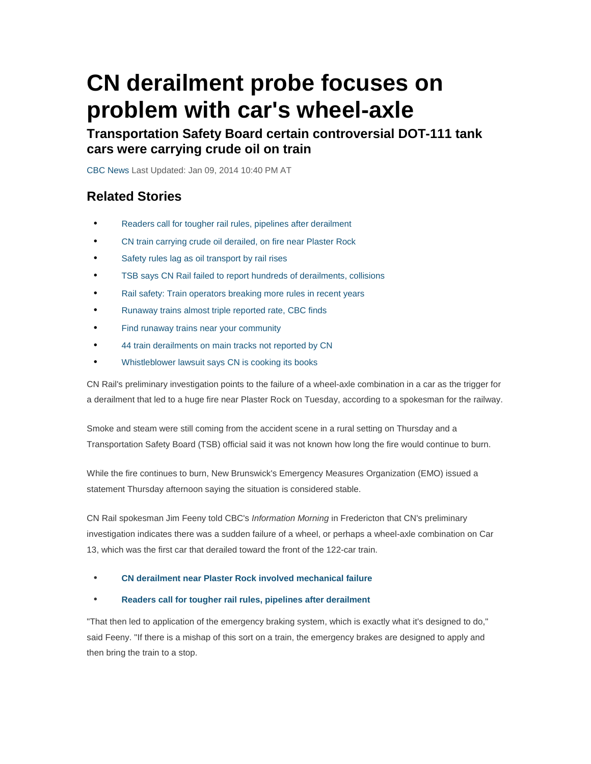# **CN derailment probe focuses on problem with car's wheel-axle**

**Transportation Safety Board certain controversial DOT-111 tank cars were carrying crude oil on train** 

CBC News Last Updated: Jan 09, 2014 10:40 PM AT

#### **Related Stories**

- Readers call for tougher rail rules, pipelines after derailment
- CN train carrying crude oil derailed, on fire near Plaster Rock
- Safety rules lag as oil transport by rail rises
- TSB says CN Rail failed to report hundreds of derailments, collisions
- Rail safety: Train operators breaking more rules in recent years
- Runaway trains almost triple reported rate, CBC finds
- Find runaway trains near your community
- 44 train derailments on main tracks not reported by CN
- Whistleblower lawsuit says CN is cooking its books

CN Rail's preliminary investigation points to the failure of a wheel-axle combination in a car as the trigger for a derailment that led to a huge fire near Plaster Rock on Tuesday, according to a spokesman for the railway.

Smoke and steam were still coming from the accident scene in a rural setting on Thursday and a Transportation Safety Board (TSB) official said it was not known how long the fire would continue to burn.

While the fire continues to burn, New Brunswick's Emergency Measures Organization (EMO) issued a statement Thursday afternoon saying the situation is considered stable.

CN Rail spokesman Jim Feeny told CBC's Information Morning in Fredericton that CN's preliminary investigation indicates there was a sudden failure of a wheel, or perhaps a wheel-axle combination on Car 13, which was the first car that derailed toward the front of the 122-car train.

#### • **CN derailment near Plaster Rock involved mechanical failure**

#### • **Readers call for tougher rail rules, pipelines after derailment**

"That then led to application of the emergency braking system, which is exactly what it's designed to do," said Feeny. "If there is a mishap of this sort on a train, the emergency brakes are designed to apply and then bring the train to a stop.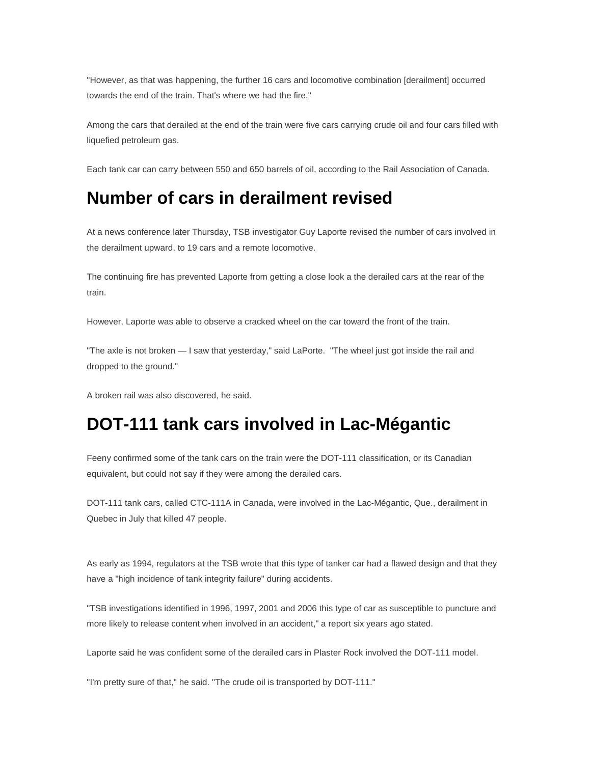"However, as that was happening, the further 16 cars and locomotive combination [derailment] occurred towards the end of the train. That's where we had the fire."

Among the cars that derailed at the end of the train were five cars carrying crude oil and four cars filled with liquefied petroleum gas.

Each tank car can carry between 550 and 650 barrels of oil, according to the Rail Association of Canada.

#### **Number of cars in derailment revised**

At a news conference later Thursday, TSB investigator Guy Laporte revised the number of cars involved in the derailment upward, to 19 cars and a remote locomotive.

The continuing fire has prevented Laporte from getting a close look a the derailed cars at the rear of the train.

However, Laporte was able to observe a cracked wheel on the car toward the front of the train.

"The axle is not broken — I saw that yesterday," said LaPorte. "The wheel just got inside the rail and dropped to the ground."

A broken rail was also discovered, he said.

## **DOT-111 tank cars involved in Lac-Mégantic**

Feeny confirmed some of the tank cars on the train were the DOT-111 classification, or its Canadian equivalent, but could not say if they were among the derailed cars.

DOT-111 tank cars, called CTC-111A in Canada, were involved in the Lac-Mégantic, Que., derailment in Quebec in July that killed 47 people.

As early as 1994, regulators at the TSB wrote that this type of tanker car had a flawed design and that they have a "high incidence of tank integrity failure" during accidents.

"TSB investigations identified in 1996, 1997, 2001 and 2006 this type of car as susceptible to puncture and more likely to release content when involved in an accident," a report six years ago stated.

Laporte said he was confident some of the derailed cars in Plaster Rock involved the DOT-111 model.

"I'm pretty sure of that," he said. "The crude oil is transported by DOT-111."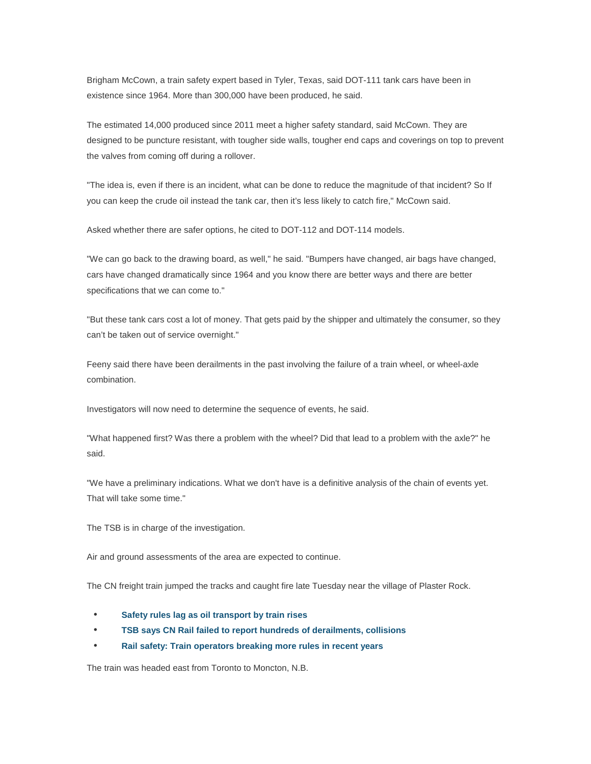Brigham McCown, a train safety expert based in Tyler, Texas, said DOT-111 tank cars have been in existence since 1964. More than 300,000 have been produced, he said.

The estimated 14,000 produced since 2011 meet a higher safety standard, said McCown. They are designed to be puncture resistant, with tougher side walls, tougher end caps and coverings on top to prevent the valves from coming off during a rollover.

"The idea is, even if there is an incident, what can be done to reduce the magnitude of that incident? So If you can keep the crude oil instead the tank car, then it's less likely to catch fire," McCown said.

Asked whether there are safer options, he cited to DOT-112 and DOT-114 models.

"We can go back to the drawing board, as well," he said. "Bumpers have changed, air bags have changed, cars have changed dramatically since 1964 and you know there are better ways and there are better specifications that we can come to."

"But these tank cars cost a lot of money. That gets paid by the shipper and ultimately the consumer, so they can't be taken out of service overnight."

Feeny said there have been derailments in the past involving the failure of a train wheel, or wheel-axle combination.

Investigators will now need to determine the sequence of events, he said.

"What happened first? Was there a problem with the wheel? Did that lead to a problem with the axle?" he said.

"We have a preliminary indications. What we don't have is a definitive analysis of the chain of events yet. That will take some time."

The TSB is in charge of the investigation.

Air and ground assessments of the area are expected to continue.

The CN freight train jumped the tracks and caught fire late Tuesday near the village of Plaster Rock.

- **Safety rules lag as oil transport by train rises**
- **TSB says CN Rail failed to report hundreds of derailments, collisions**
- **Rail safety: Train operators breaking more rules in recent years**

The train was headed east from Toronto to Moncton, N.B.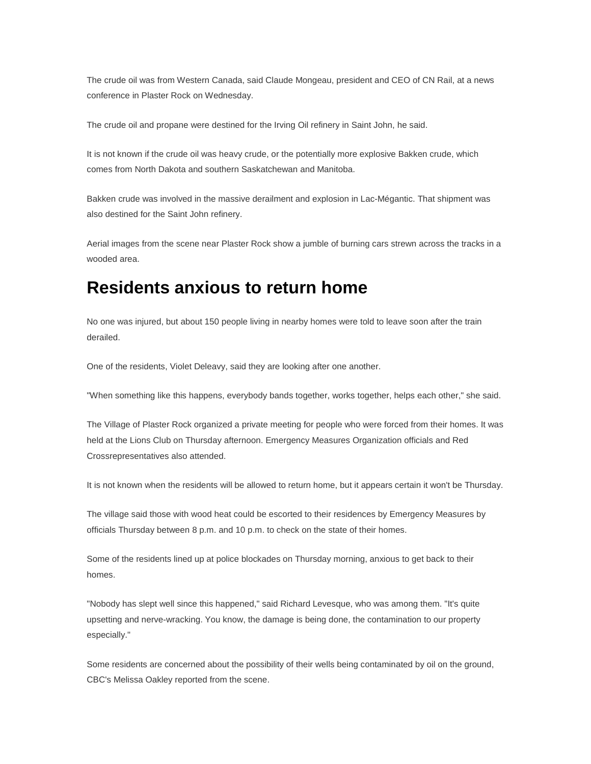The crude oil was from Western Canada, said Claude Mongeau, president and CEO of CN Rail, at a news conference in Plaster Rock on Wednesday.

The crude oil and propane were destined for the Irving Oil refinery in Saint John, he said.

It is not known if the crude oil was heavy crude, or the potentially more explosive Bakken crude, which comes from North Dakota and southern Saskatchewan and Manitoba.

Bakken crude was involved in the massive derailment and explosion in Lac-Mégantic. That shipment was also destined for the Saint John refinery.

Aerial images from the scene near Plaster Rock show a jumble of burning cars strewn across the tracks in a wooded area.

### **Residents anxious to return home**

No one was injured, but about 150 people living in nearby homes were told to leave soon after the train derailed.

One of the residents, Violet Deleavy, said they are looking after one another.

"When something like this happens, everybody bands together, works together, helps each other," she said.

The Village of Plaster Rock organized a private meeting for people who were forced from their homes. It was held at the Lions Club on Thursday afternoon. Emergency Measures Organization officials and Red Crossrepresentatives also attended.

It is not known when the residents will be allowed to return home, but it appears certain it won't be Thursday.

The village said those with wood heat could be escorted to their residences by Emergency Measures by officials Thursday between 8 p.m. and 10 p.m. to check on the state of their homes.

Some of the residents lined up at police blockades on Thursday morning, anxious to get back to their homes.

"Nobody has slept well since this happened," said Richard Levesque, who was among them. "It's quite upsetting and nerve-wracking. You know, the damage is being done, the contamination to our property especially."

Some residents are concerned about the possibility of their wells being contaminated by oil on the ground, CBC's Melissa Oakley reported from the scene.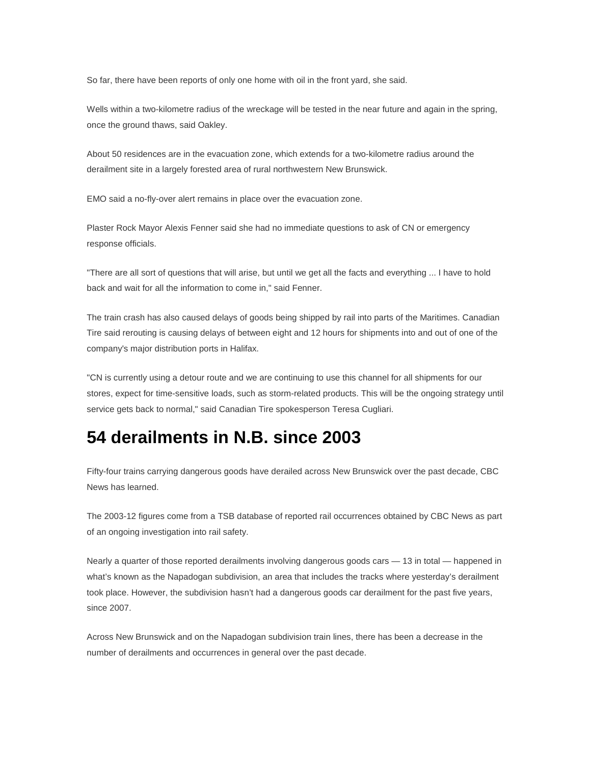So far, there have been reports of only one home with oil in the front yard, she said.

Wells within a two-kilometre radius of the wreckage will be tested in the near future and again in the spring, once the ground thaws, said Oakley.

About 50 residences are in the evacuation zone, which extends for a two-kilometre radius around the derailment site in a largely forested area of rural northwestern New Brunswick.

EMO said a no-fly-over alert remains in place over the evacuation zone.

Plaster Rock Mayor Alexis Fenner said she had no immediate questions to ask of CN or emergency response officials.

"There are all sort of questions that will arise, but until we get all the facts and everything ... I have to hold back and wait for all the information to come in," said Fenner.

The train crash has also caused delays of goods being shipped by rail into parts of the Maritimes. Canadian Tire said rerouting is causing delays of between eight and 12 hours for shipments into and out of one of the company's major distribution ports in Halifax.

"CN is currently using a detour route and we are continuing to use this channel for all shipments for our stores, expect for time-sensitive loads, such as storm-related products. This will be the ongoing strategy until service gets back to normal," said Canadian Tire spokesperson Teresa Cugliari.

## **54 derailments in N.B. since 2003**

Fifty-four trains carrying dangerous goods have derailed across New Brunswick over the past decade, CBC News has learned.

The 2003-12 figures come from a TSB database of reported rail occurrences obtained by CBC News as part of an ongoing investigation into rail safety.

Nearly a quarter of those reported derailments involving dangerous goods cars — 13 in total — happened in what's known as the Napadogan subdivision, an area that includes the tracks where yesterday's derailment took place. However, the subdivision hasn't had a dangerous goods car derailment for the past five years, since 2007.

Across New Brunswick and on the Napadogan subdivision train lines, there has been a decrease in the number of derailments and occurrences in general over the past decade.